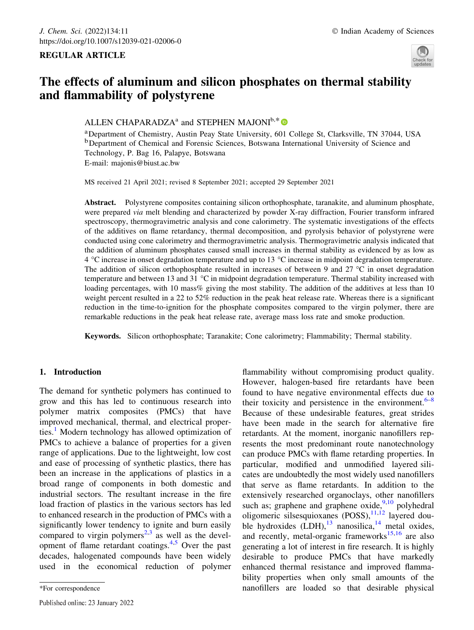## REGULAR ARTICLE



# The effects of aluminum and silicon phosphates on thermal stability and flammability of polystyrene

# ALLEN CHAPARADZA<sup>a</sup> and STEPHEN MAJONI<sup>b,\*</sup>

aDepartment of Chemistry, Austin Peay State University, 601 College St, Clarksville, TN 37044, USA <sup>b</sup>Department of Chemical and Forensic Sciences, Botswana International University of Science and Technology, P. Bag 16, Palapye, Botswana E-mail: majonis@biust.ac.bw

MS received 21 April 2021; revised 8 September 2021; accepted 29 September 2021

Abstract. Polystyrene composites containing silicon orthophosphate, taranakite, and aluminum phosphate, were prepared via melt blending and characterized by powder X-ray diffraction, Fourier transform infrared spectroscopy, thermogravimetric analysis and cone calorimetry. The systematic investigations of the effects of the additives on flame retardancy, thermal decomposition, and pyrolysis behavior of polystyrene were conducted using cone calorimetry and thermogravimetric analysis. Thermogravimetric analysis indicated that the addition of aluminum phosphates caused small increases in thermal stability as evidenced by as low as 4 °C increase in onset degradation temperature and up to 13 °C increase in midpoint degradation temperature. The addition of silicon orthophosphate resulted in increases of between 9 and 27  $^{\circ}$ C in onset degradation temperature and between 13 and 31 °C in midpoint degradation temperature. Thermal stability increased with loading percentages, with 10 mass% giving the most stability. The addition of the additives at less than 10 weight percent resulted in a 22 to 52% reduction in the peak heat release rate. Whereas there is a significant reduction in the time-to-ignition for the phosphate composites compared to the virgin polymer, there are remarkable reductions in the peak heat release rate, average mass loss rate and smoke production.

Keywords. Silicon orthophosphate; Taranakite; Cone calorimetry; Flammability; Thermal stability.

# 1. Introduction

The demand for synthetic polymers has continued to grow and this has led to continuous research into polymer matrix composites (PMCs) that have improved mechanical, thermal, and electrical properties.<sup>1</sup> Modern technology has allowed optimization of PMCs to achieve a balance of properties for a given range of applications. Due to the lightweight, low cost and ease of processing of synthetic plastics, there has been an increase in the applications of plastics in a broad range of components in both domestic and industrial sectors. The resultant increase in the fire load fraction of plastics in the various sectors has led to enhanced research in the production of PMCs with a significantly lower tendency to ignite and burn easily compared to virgin polymers<sup>2,3</sup> as well as the development of flame retardant coatings.4,5 Over the past decades, halogenated compounds have been widely used in the economical reduction of polymer

flammability without compromising product quality. However, halogen-based fire retardants have been found to have negative environmental effects due to their toxicity and persistence in the environment. $6-8$ Because of these undesirable features, great strides have been made in the search for alternative fire retardants. At the moment, inorganic nanofillers represents the most predominant route nanotechnology can produce PMCs with flame retarding properties. In particular, modified and unmodified layered silicates are undoubtedly the most widely used nanofillers that serve as flame retardants. In addition to the extensively researched organoclays, other nanofillers such as; graphene and graphene oxide,  $9,10$  polyhedral oligomeric silsesquioxanes (POSS),<sup>11,12</sup> layered double hydroxides  $(LDH)$ ,<sup>13</sup> nanosilica,<sup>14</sup> metal oxides, and recently, metal-organic frameworks<sup>15,16</sup> are also generating a lot of interest in fire research. It is highly desirable to produce PMCs that have markedly enhanced thermal resistance and improved flammability properties when only small amounts of the \*For correspondence nanofillers are loaded so that desirable physical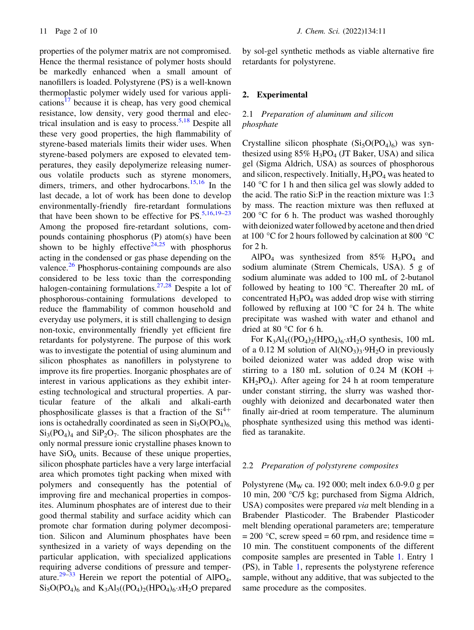properties of the polymer matrix are not compromised. Hence the thermal resistance of polymer hosts should be markedly enhanced when a small amount of nanofillers is loaded. Polystyrene (PS) is a well-known thermoplastic polymer widely used for various applications<sup>17</sup> because it is cheap, has very good chemical resistance, low density, very good thermal and electrical insulation and is easy to process.  $5.18$  Despite all these very good properties, the high flammability of styrene-based materials limits their wider uses. When styrene-based polymers are exposed to elevated temperatures, they easily depolymerize releasing numerous volatile products such as styrene monomers, dimers, trimers, and other hydrocarbons.<sup>15,16</sup> In the last decade, a lot of work has been done to develop environmentally-friendly fire-retardant formulations that have been shown to be effective for  $PS$ .<sup>5,16,19–23</sup> Among the proposed fire-retardant solutions, compounds containing phosphorus (P) atom(s) have been shown to be highly effective<sup>24,25</sup> with phosphorus acting in the condensed or gas phase depending on the valence.<sup>26</sup> Phosphorus-containing compounds are also considered to be less toxic than the corresponding halogen-containing formulations.<sup>27,28</sup> Despite a lot of phosphorous-containing formulations developed to reduce the flammability of common household and everyday use polymers, it is still challenging to design non-toxic, environmentally friendly yet efficient fire retardants for polystyrene. The purpose of this work was to investigate the potential of using aluminum and silicon phosphates as nanofillers in polystyrene to improve its fire properties. Inorganic phosphates are of interest in various applications as they exhibit interesting technological and structural properties. A particular feature of the alkali and alkali-earth phosphosilicate glasses is that a fraction of the  $Si<sup>4+</sup>$ ions is octahedrally coordinated as seen in  $Si<sub>5</sub>O(PO<sub>4</sub>)<sub>6</sub>$  $Si<sub>3</sub>(PO<sub>4</sub>)<sub>4</sub>$  and  $SiP<sub>2</sub>O<sub>7</sub>$ . The silicon phosphates are the only normal pressure ionic crystalline phases known to have  $SiO<sub>6</sub>$  units. Because of these unique properties, silicon phosphate particles have a very large interfacial area which promotes tight packing when mixed with polymers and consequently has the potential of improving fire and mechanical properties in composites. Aluminum phosphates are of interest due to their good thermal stability and surface acidity which can promote char formation during polymer decomposition. Silicon and Aluminum phosphates have been synthesized in a variety of ways depending on the particular application, with specialized applications requiring adverse conditions of pressure and temperature.<sup>29–33</sup> Herein we report the potential of AlPO<sub>4</sub>,  $Si<sub>5</sub>O(PO<sub>4</sub>)<sub>6</sub>$  and  $K<sub>3</sub>Al<sub>5</sub>((PO<sub>4</sub>)<sub>2</sub>(HPO<sub>4</sub>)<sub>6</sub>·xH<sub>2</sub>O$  prepared

by sol-gel synthetic methods as viable alternative fire retardants for polystyrene.

## 2. Experimental

# 2.1 Preparation of aluminum and silicon phosphate

Crystalline silicon phosphate  $(Si<sub>5</sub>O(PO<sub>4</sub>)<sub>6</sub>)$  was synthesized using  $85\%$  H<sub>3</sub>PO<sub>4</sub> (JT Baker, USA) and silica gel (Sigma Aldrich, USA) as sources of phosphorous and silicon, respectively. Initially,  $H_3PO_4$  was heated to 140  $\degree$ C for 1 h and then silica gel was slowly added to the acid. The ratio Si:P in the reaction mixture was 1:3 by mass. The reaction mixture was then refluxed at 200 °C for 6 h. The product was washed thoroughly with deionized water followed by acetone and then dried at 100  $\degree$ C for 2 hours followed by calcination at 800  $\degree$ C for 2 h.

AlPO<sub>4</sub> was synthesized from  $85\%$  H<sub>3</sub>PO<sub>4</sub> and sodium aluminate (Strem Chemicals, USA). 5 g of sodium aluminate was added to 100 mL of 2-butanol followed by heating to 100  $^{\circ}$ C. Thereafter 20 mL of concentrated  $H_3PO_4$  was added drop wise with stirring followed by refluxing at 100  $\degree$ C for 24 h. The white precipitate was washed with water and ethanol and dried at 80 $\degree$ C for 6 h.

For  $K_3Al_5((PO_4)_2(HPO_4)_6 \cdot xH_2O$  synthesis, 100 mL of a 0.12 M solution of  $\text{Al}(\text{NO}_3)_3$ .  $9\text{H}_2\text{O}$  in previously boiled deionized water was added drop wise with stirring to a 180 mL solution of 0.24 M (KOH  $+$  $KH<sub>2</sub>PO<sub>4</sub>$ ). After ageing for 24 h at room temperature under constant stirring, the slurry was washed thoroughly with deionized and decarbonated water then finally air-dried at room temperature. The aluminum phosphate synthesized using this method was identified as taranakite.

#### 2.2 Preparation of polystyrene composites

Polystyrene ( $M<sub>W</sub>$  ca. 192 000; melt index 6.0-9.0 g per 10 min, 200 °C/5 kg; purchased from Sigma Aldrich, USA) composites were prepared via melt blending in a Brabender Plasticoder. The Brabender Plasticoder melt blending operational parameters are; temperature  $= 200$  °C, screw speed  $= 60$  rpm, and residence time  $=$ 10 min. The constituent components of the different composite samples are presented in Table 1. Entry 1 (PS), in Table 1, represents the polystyrene reference sample, without any additive, that was subjected to the same procedure as the composites.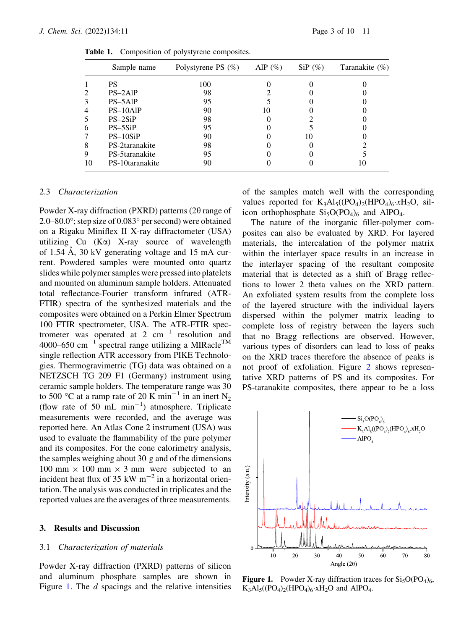|    | Sample name     | Polystyrene PS $(\%)$ | AlP $(\%)$ | $SiP$ (%) | Taranakite (%) |
|----|-----------------|-----------------------|------------|-----------|----------------|
|    | PS              | 100                   |            |           |                |
| 2  | $PS-2AlP$       | 98                    |            |           |                |
| 3  | PS-5AlP         | 95                    |            |           |                |
| 4  | $PS-10AlP$      | 90                    | 10         |           |                |
| 5  | $PS-2SiP$       | 98                    |            |           |                |
| 6  | $PS-5SiP$       | 95                    |            |           |                |
|    | $PS-10SiP$      | 90                    |            | 10        |                |
| 8  | PS-2taranakite  | 98                    |            |           |                |
| 9  | PS-5taranakite  | 95                    |            |           |                |
| 10 | PS-10taranakite | 90                    |            |           |                |

Table 1. Composition of polystyrene composites.

#### 2.3 Characterization

Powder X-ray diffraction (PXRD) patterns (2 $\theta$  range of 2.0–80.0 $\degree$ ; step size of 0.083 $\degree$  per second) were obtained on a Rigaku Miniflex II X-ray diffractometer (USA) utilizing  $Cu$  (K $\alpha$ ) X-ray source of wavelength of 1.54  $\AA$ , 30 kV generating voltage and 15 mA current. Powdered samples were mounted onto quartz slides while polymer samples were pressed into platelets and mounted on aluminum sample holders. Attenuated total reflectance-Fourier transform infrared (ATR-FTIR) spectra of the synthesized materials and the composites were obtained on a Perkin Elmer Spectrum 100 FTIR spectrometer, USA. The ATR-FTIR spectrometer was operated at  $2 \text{ cm}^{-1}$  resolution and 4000–650 cm<sup>-1</sup> spectral range utilizing a MIRacle<sup>TM</sup> single reflection ATR accessory from PIKE Technologies. Thermogravimetric (TG) data was obtained on a NETZSCH TG 209 F1 (Germany) instrument using ceramic sample holders. The temperature range was 30 to 500 °C at a ramp rate of 20 K min<sup>-1</sup> in an inert N<sub>2</sub> (flow rate of 50  $\text{mL min}^{-1}$ ) atmosphere. Triplicate measurements were recorded, and the average was reported here. An Atlas Cone 2 instrument (USA) was used to evaluate the flammability of the pure polymer and its composites. For the cone calorimetry analysis, the samples weighing about 30 g and of the dimensions 100 mm  $\times$  100 mm  $\times$  3 mm were subjected to an incident heat flux of 35 kW  $m^{-2}$  in a horizontal orientation. The analysis was conducted in triplicates and the reported values are the averages of three measurements.

## 3. Results and Discussion

#### 3.1 Characterization of materials

Powder X-ray diffraction (PXRD) patterns of silicon and aluminum phosphate samples are shown in Figure 1. The *d* spacings and the relative intensities of the samples match well with the corresponding values reported for  $K_3Al_5((PO_4)_2(HPO_4)_6 \times H_2O$ , silicon orthophosphate  $Si<sub>5</sub>O(PO<sub>4</sub>)<sub>6</sub>$  and AlPO<sub>4</sub>.

The nature of the inorganic filler-polymer composites can also be evaluated by XRD. For layered materials, the intercalation of the polymer matrix within the interlayer space results in an increase in the interlayer spacing of the resultant composite material that is detected as a shift of Bragg reflections to lower 2 theta values on the XRD pattern. An exfoliated system results from the complete loss of the layered structure with the individual layers dispersed within the polymer matrix leading to complete loss of registry between the layers such that no Bragg reflections are observed. However, various types of disorders can lead to loss of peaks on the XRD traces therefore the absence of peaks is not proof of exfoliation. Figure 2 shows representative XRD patterns of PS and its composites. For PS-taranakite composites, there appear to be a loss



**Figure 1.** Powder X-ray diffraction traces for  $Si<sub>5</sub>O(PO<sub>4</sub>)<sub>6</sub>$ ,  $K_3Al_5((PO_4)_2(HPO_4)_6 \times H_2O$  and AlPO<sub>4</sub>.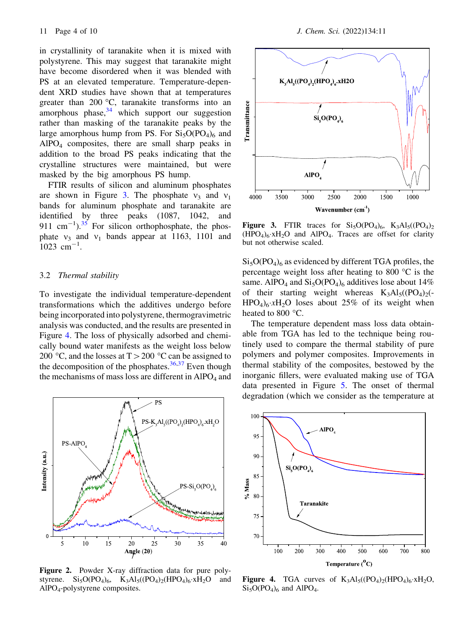in crystallinity of taranakite when it is mixed with polystyrene. This may suggest that taranakite might have become disordered when it was blended with PS at an elevated temperature. Temperature-dependent XRD studies have shown that at temperatures greater than 200  $\degree$ C, taranakite transforms into an amorphous phase, $34$  which support our suggestion rather than masking of the taranakite peaks by the large amorphous hump from PS. For  $Si<sub>5</sub>O(PO<sub>4</sub>)<sub>6</sub>$  and AlPO4 composites, there are small sharp peaks in addition to the broad PS peaks indicating that the crystalline structures were maintained, but were masked by the big amorphous PS hump.

FTIR results of silicon and aluminum phosphates are shown in Figure 3. The phosphate  $v_3$  and  $v_1$ bands for aluminum phosphate and taranakite are identified by three peaks (1087, 1042, and 911 cm<sup>-1</sup>).<sup>35</sup> For silicon orthophosphate, the phosphate  $v_3$  and  $v_1$  bands appear at 1163, 1101 and  $1023$  cm<sup>-1</sup>.

## 3.2 Thermal stability

To investigate the individual temperature-dependent transformations which the additives undergo before being incorporated into polystyrene, thermogravimetric analysis was conducted, and the results are presented in Figure 4. The loss of physically adsorbed and chemically bound water manifests as the weight loss below 200 °C, and the losses at  $T > 200$  °C can be assigned to the decomposition of the phosphates.  $36,37$  Even though the mechanisms of mass loss are different in  $AIPO<sub>4</sub>$  and



Figure 2. Powder X-ray diffraction data for pure polystyrene.  $Si_5O(PO_4)_6$ ,  $K_3Al_5((PO_4)_2(HPO_4)_6 \cdot xH_2O$  and AlPO4-polystyrene composites.



Figure 3. FTIR traces for  $Si<sub>5</sub>O(PO<sub>4</sub>)<sub>6</sub>$ ,  $K<sub>3</sub>Al<sub>5</sub>((PO<sub>4</sub>)<sub>2</sub>$  $(HPO<sub>4</sub>)<sub>6</sub>$  xH<sub>2</sub>O and AlPO<sub>4</sub>. Traces are offset for clarity but not otherwise scaled.

 $Si<sub>5</sub>O(PO<sub>4</sub>)<sub>6</sub>$  as evidenced by different TGA profiles, the percentage weight loss after heating to 800  $\degree$ C is the same. AlPO<sub>4</sub> and  $Si<sub>5</sub>O(PO<sub>4</sub>)<sub>6</sub>$  additives lose about 14% of their starting weight whereas  $K_3Al_5((PO_4)_2( HPO<sub>4</sub>$ <sub>6</sub>  $xH<sub>2</sub>O$  loses about 25% of its weight when heated to 800  $^{\circ}$ C.

The temperature dependent mass loss data obtainable from TGA has led to the technique being routinely used to compare the thermal stability of pure polymers and polymer composites. Improvements in thermal stability of the composites, bestowed by the inorganic fillers, were evaluated making use of TGA data presented in Figure 5. The onset of thermal degradation (which we consider as the temperature at



Figure 4. TGA curves of  $K_3Al_5((PO_4)_2(HPO_4)_6 \cdot xH_2O,$  $Si<sub>5</sub>O(PO<sub>4</sub>)<sub>6</sub>$  and AlPO<sub>4</sub>.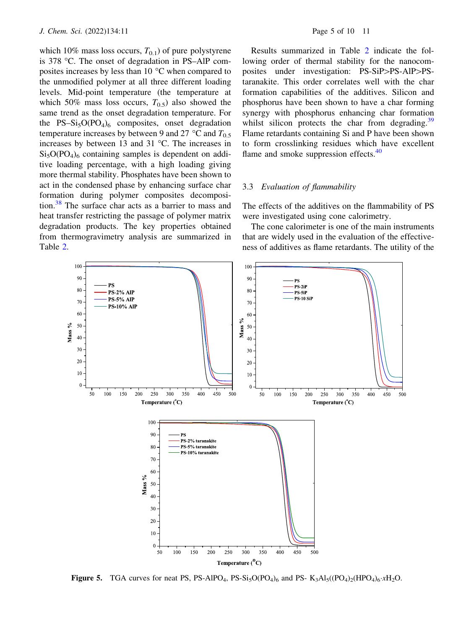which 10% mass loss occurs,  $T_{0,1}$ ) of pure polystyrene is 378 °C. The onset of degradation in PS–AlP composites increases by less than  $10^{\circ}$ C when compared to the unmodified polymer at all three different loading levels. Mid-point temperature (the temperature at which 50% mass loss occurs,  $T_{0.5}$ ) also showed the same trend as the onset degradation temperature. For the PS–Si<sub>5</sub>O(PO<sub>4</sub>)<sub>6</sub> composites, onset degradation temperature increases by between 9 and 27  $^{\circ}$ C and  $T_{0.5}$ increases by between 13 and 31  $^{\circ}$ C. The increases in  $Si<sub>5</sub>O(PO<sub>4</sub>)<sub>6</sub>$  containing samples is dependent on additive loading percentage, with a high loading giving more thermal stability. Phosphates have been shown to act in the condensed phase by enhancing surface char formation during polymer composites decomposition.38 The surface char acts as a barrier to mass and heat transfer restricting the passage of polymer matrix degradation products. The key properties obtained from thermogravimetry analysis are summarized in Table 2.

Results summarized in Table 2 indicate the following order of thermal stability for the nanocomposites under investigation: PS-SiP>PS-AlP>PStaranakite. This order correlates well with the char formation capabilities of the additives. Silicon and phosphorus have been shown to have a char forming synergy with phosphorus enhancing char formation whilst silicon protects the char from degrading.<sup>39</sup> Flame retardants containing Si and P have been shown to form crosslinking residues which have excellent flame and smoke suppression effects.<sup>40</sup>

## 3.3 Evaluation of flammability

The effects of the additives on the flammability of PS were investigated using cone calorimetry.

The cone calorimeter is one of the main instruments that are widely used in the evaluation of the effectiveness of additives as flame retardants. The utility of the



**Figure 5.** TGA curves for neat PS, PS-AlPO<sub>4</sub>, PS-Si<sub>5</sub>O(PO<sub>4</sub>)<sub>6</sub> and PS- K<sub>3</sub>Al<sub>5</sub>((PO<sub>4</sub>)<sub>2</sub>(HPO<sub>4</sub>)<sub>6</sub>· $xH_2O$ .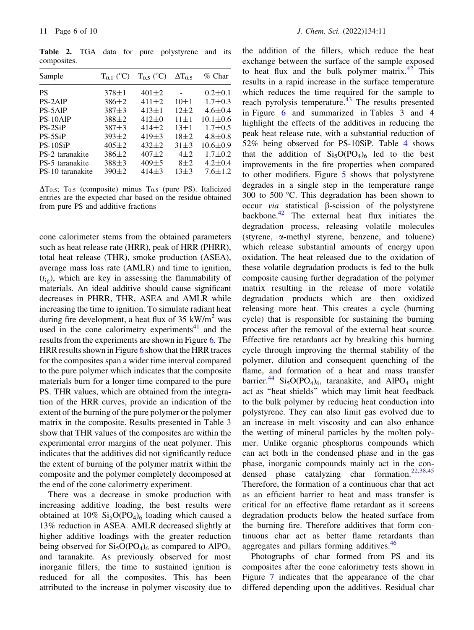Table 2. TGA data for pure polystyrene and its composites.

| Sample           | $T_{0,1}$ (°C) | $T_0$ s ( <sup>o</sup> C) | $\Delta T_0$ | $%$ Char       |
|------------------|----------------|---------------------------|--------------|----------------|
| PS               | $378 \pm 1$    | $401 \pm 2$               |              | $0.2 \pm 0.1$  |
| PS-2AlP          | $386 \pm 2$    | $411 \pm 2$               | $10\pm1$     | $1.7 \pm 0.3$  |
| PS-5AlP          | $387 + 3$      | $413 \pm 1$               | $12+2$       | $4.6 \pm 0.4$  |
| PS-10AlP         | $388 \pm 2$    | $412 \pm 0$               | $11 + 1$     | $10.1 \pm 0.6$ |
| $PS-2SiP$        | $387 + 3$      | $414\pm 2$                | $13 \pm 1$   | $1.7 \pm 0.5$  |
| PS-5SiP          | $393 \pm 2$    | $419\pm3$                 | $18 + 2$     | $4.8 \pm 0.8$  |
| PS-10SiP         | $405 \pm 2$    | $432 \pm 2$               | $31 + 3$     | $10.6 \pm 0.9$ |
| PS-2 taranakite  | $386 \pm 2$    | $407 + 2$                 | $4\pm2$      | $1.7 \pm 0.2$  |
| PS-5 taranakite  | $388 + 3$      | $409 + 5$                 | $8\pm2$      | $4.2 \pm 0.4$  |
| PS-10 taranakite | $390 \pm 2$    | $414\pm3$                 | $13+3$       | $7.6 \pm 1.2$  |

 $\Delta T_{0.5}$ ; T<sub>0.5</sub> (composite) minus T<sub>0.5</sub> (pure PS). Italicized entries are the expected char based on the residue obtained from pure PS and additive fractions

cone calorimeter stems from the obtained parameters such as heat release rate (HRR), peak of HRR (PHRR), total heat release (THR), smoke production (ASEA), average mass loss rate (AMLR) and time to ignition,  $(t_{i}$ , which are key in assessing the flammability of materials. An ideal additive should cause significant decreases in PHRR, THR, ASEA and AMLR while increasing the time to ignition. To simulate radiant heat during fire development, a heat flux of 35 kW/ $m<sup>2</sup>$  was used in the cone calorimetry experiments $41$  and the results from the experiments are shown in Figure 6. The HRR results shown in Figure 6 show that the HRR traces for the composites span a wider time interval compared to the pure polymer which indicates that the composite materials burn for a longer time compared to the pure PS. THR values, which are obtained from the integration of the HRR curves, provide an indication of the extent of the burning of the pure polymer or the polymer matrix in the composite. Results presented in Table 3 show that THR values of the composites are within the experimental error margins of the neat polymer. This indicates that the additives did not significantly reduce the extent of burning of the polymer matrix within the composite and the polymer completely decomposed at the end of the cone calorimetry experiment.

There was a decrease in smoke production with increasing additive loading, the best results were obtained at  $10\%$  Si<sub>5</sub>O(PO<sub>4</sub>)<sub>6</sub> loading which caused a 13% reduction in ASEA. AMLR decreased slightly at higher additive loadings with the greater reduction being observed for  $Si<sub>5</sub>O(PO<sub>4</sub>)<sub>6</sub>$  as compared to AlPO<sub>4</sub> and taranakite. As previously observed for most inorganic fillers, the time to sustained ignition is reduced for all the composites. This has been attributed to the increase in polymer viscosity due to the addition of the fillers, which reduce the heat exchange between the surface of the sample exposed to heat flux and the bulk polymer matrix.<sup>42</sup> This results in a rapid increase in the surface temperature which reduces the time required for the sample to reach pyrolysis temperature. $43$  The results presented in Figure 6 and summarized in Tables 3 and 4 highlight the effects of the additives in reducing the peak heat release rate, with a substantial reduction of 52% being observed for PS-10SiP. Table 4 shows that the addition of  $Si<sub>5</sub>O(PO<sub>4</sub>)<sub>6</sub>$  led to the best improvements in the fire properties when compared to other modifiers. Figure 5 shows that polystyrene degrades in a single step in the temperature range 300 to 500  $^{\circ}$ C. This degradation has been shown to occur *via* statistical  $\beta$ -scission of the polystyrene backbone.<sup>42</sup> The external heat flux initiates the degradation process, releasing volatile molecules (styrene, a-methyl styrene, benzene, and toluene) which release substantial amounts of energy upon oxidation. The heat released due to the oxidation of these volatile degradation products is fed to the bulk composite causing further degradation of the polymer matrix resulting in the release of more volatile degradation products which are then oxidized releasing more heat. This creates a cycle (burning cycle) that is responsible for sustaining the burning process after the removal of the external heat source. Effective fire retardants act by breaking this burning cycle through improving the thermal stability of the polymer, dilution and consequent quenching of the flame, and formation of a heat and mass transfer barrier.<sup>44</sup> Si<sub>5</sub>O(PO<sub>4</sub>)<sub>6</sub>, taranakite, and AlPO<sub>4</sub> might act as ''heat shields'' which may limit heat feedback to the bulk polymer by reducing heat conduction into polystyrene. They can also limit gas evolved due to an increase in melt viscosity and can also enhance the wetting of mineral particles by the molten polymer. Unlike organic phosphorus compounds which can act both in the condensed phase and in the gas phase, inorganic compounds mainly act in the condensed phase catalyzing char formation.22,38,45 Therefore, the formation of a continuous char that act as an efficient barrier to heat and mass transfer is critical for an effective flame retardant as it screens degradation products below the heated surface from the burning fire. Therefore additives that form continuous char act as better flame retardants than aggregates and pillars forming additives.<sup>46</sup>

Photographs of char formed from PS and its composites after the cone calorimetry tests shown in Figure 7 indicates that the appearance of the char differed depending upon the additives. Residual char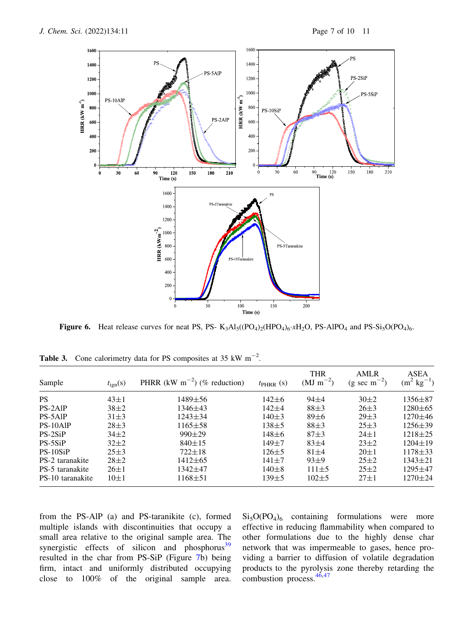

**Figure 6.** Heat release curves for neat PS, PS-  $K_3Al_5((PO_4)_2(HPO_4)_6 \cdot xH_2O$ , PS-AlPO<sub>4</sub> and PS-Si<sub>5</sub>O(PO<sub>4</sub>)<sub>6</sub>.

| Sample           | $t_{\rm ign}(s)$ | PHRR (kW m <sup><math>-2</math></sup> ) (% reduction) | $t_{\text{PHRR}}$ (s) | <b>THR</b><br>$(MJ \, \text{m}^{-2})$ | AMLR<br>$(g \sec m^{-2})$ | ASEA<br>$kg^{-1}$<br>$\rm (m^2)$ |
|------------------|------------------|-------------------------------------------------------|-----------------------|---------------------------------------|---------------------------|----------------------------------|
| <b>PS</b>        | $43 \pm 1$       | $1489 \pm 56$                                         | $142 \pm 6$           | $94 + 4$                              | $30\pm2$                  | $1356 \pm 87$                    |
| PS-2AIP          | $38\pm2$         | $1346 \pm 43$                                         | $142 + 4$             | $88+3$                                | $26 \pm 3$                | $1280 \pm 65$                    |
| PS-5AlP          | $31\pm3$         | $1243 \pm 34$                                         | $140\pm3$             | $89 \pm 6$                            | $29 \pm 3$                | $1270 \pm 46$                    |
| PS-10AlP         | $28 \pm 3$       | $1165 \pm 58$                                         | $138 + 5$             | $88+3$                                | $25 \pm 3$                | $1256 \pm 39$                    |
| $PS-2SiP$        | $34\pm2$         | $990 \pm 29$                                          | $148 + 6$             | $87 + 3$                              | $24 \pm 1$                | $1218 \pm 25$                    |
| $PS-5SiP$        | $32\pm2$         | $840 \pm 15$                                          | $149 + 7$             | $83+4$                                | $23\pm2$                  | $1204 \pm 19$                    |
| PS-10SiP         | $25 \pm 3$       | $722 \pm 18$                                          | $126 \pm 5$           | $81 + 4$                              | $20\pm1$                  | $1178 \pm 33$                    |
| PS-2 taranakite  | $28 \pm 2$       | $1412\pm 65$                                          | $141 + 7$             | $93+9$                                | $25 \pm 2$                | $1343 \pm 21$                    |
| PS-5 taranakite  | $26 \pm 1$       | 1342±47                                               | $140\pm8$             | $111 \pm 5$                           | $25 \pm 2$                | $1295 + 47$                      |
| PS-10 taranakite | $10\pm1$         | $1168 \pm 51$                                         | $139 \pm 5$           | $102\pm5$                             | $27 \pm 1$                | $1270 \pm 24$                    |

Table 3. Cone calorimetry data for PS composites at 35 kW  $m^{-2}$ .

from the PS-AlP (a) and PS-taranikite (c), formed multiple islands with discontinuities that occupy a small area relative to the original sample area. The synergistic effects of silicon and phosphorus $39$ resulted in the char from PS-SiP (Figure 7b) being firm, intact and uniformly distributed occupying close to 100% of the original sample area.  $Si<sub>5</sub>O(PO<sub>4</sub>)<sub>6</sub>$  containing formulations were more effective in reducing flammability when compared to other formulations due to the highly dense char network that was impermeable to gases, hence providing a barrier to diffusion of volatile degradation products to the pyrolysis zone thereby retarding the combustion process.46,47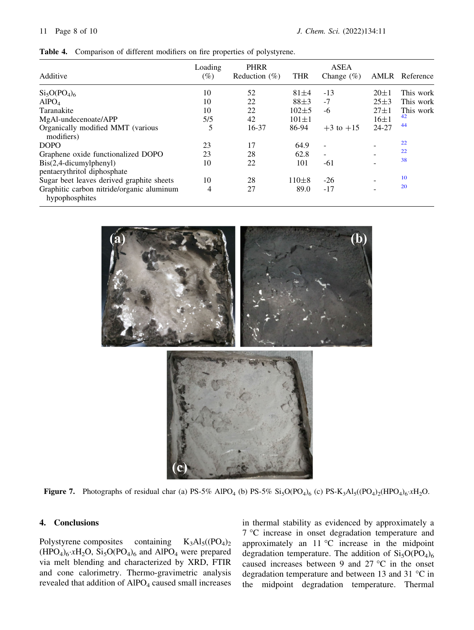|  | Table 4. Comparison of different modifiers on fire properties of polystyrene. |  |  |  |  |  |  |
|--|-------------------------------------------------------------------------------|--|--|--|--|--|--|
|--|-------------------------------------------------------------------------------|--|--|--|--|--|--|

| Additive                                                                                                    | Loading<br>(%) | <b>PHRR</b><br>Reduction $(\% )$ | <b>THR</b>             | <b>ASEA</b><br>Change $(\%)$    |                          | AMLR Reference         |
|-------------------------------------------------------------------------------------------------------------|----------------|----------------------------------|------------------------|---------------------------------|--------------------------|------------------------|
| $Si5O(PO4)6$                                                                                                | 10             | 52                               | $81 + 4$               | $-13$                           | $20 \pm 1$               | This work              |
| AlPO <sub>4</sub><br>Taranakite                                                                             | 10<br>10       | 22<br>22                         | $88 + 3$<br>$102\pm 5$ | $-7$<br>-6                      | $25 \pm 3$<br>$27 \pm 1$ | This work<br>This work |
| MgAl-undecenoate/APP<br>Organically modified MMT (various                                                   | 5/5<br>5       | 42<br>16-37                      | $101 \pm 1$<br>86-94   | $+3$ to $+15$                   | $16\pm1$<br>24-27        | 42<br>44               |
| modifiers)<br><b>DOPO</b>                                                                                   | 23<br>23       | 17<br>28                         | 64.9<br>62.8           | $\overline{\phantom{a}}$        |                          | 22<br>22               |
| Graphene oxide functionalized DOPO<br>$\text{Bis}(2,4\text{-}dicumylphenyl)$<br>pentaerythritol diphosphate | 10             | 22                               | 101                    | $\overline{\phantom{0}}$<br>-61 |                          | 38                     |
| Sugar beet leaves derived graphite sheets<br>Graphitic carbon nitride/organic aluminum<br>hypophosphites    | 10<br>4        | 28<br>27                         | $110\pm8$<br>89.0      | $-26$<br>$-17$                  |                          | 10<br>20               |



**Figure 7.** Photographs of residual char (a)  $PS-5\%$  AlPO<sub>4</sub> (b)  $PS-5\%$   $Si<sub>5</sub>O(PO<sub>4</sub>)<sub>6</sub>$  (c)  $PS-K<sub>3</sub>Al<sub>5</sub>((PO<sub>4</sub>)<sub>2</sub>(HPO<sub>4</sub>)<sub>6</sub>·xH<sub>2</sub>O.$ 

## 4. Conclusions

Polystyrene composites containing  $K_3Al_5((PO_4)_2)$  $(HPO<sub>4</sub>)<sub>6</sub>$   $xH<sub>2</sub>O$ ,  $Si<sub>5</sub>O(PO<sub>4</sub>)<sub>6</sub>$  and  $AlPO<sub>4</sub>$  were prepared via melt blending and characterized by XRD, FTIR and cone calorimetry. Thermo-gravimetric analysis revealed that addition of  $AIPO<sub>4</sub>$  caused small increases in thermal stability as evidenced by approximately a 7 °C increase in onset degradation temperature and approximately an  $11 °C$  increase in the midpoint degradation temperature. The addition of  $Si<sub>5</sub>O(PO<sub>4</sub>)<sub>6</sub>$ caused increases between 9 and 27  $\degree$ C in the onset degradation temperature and between 13 and 31  $^{\circ}$ C in the midpoint degradation temperature. Thermal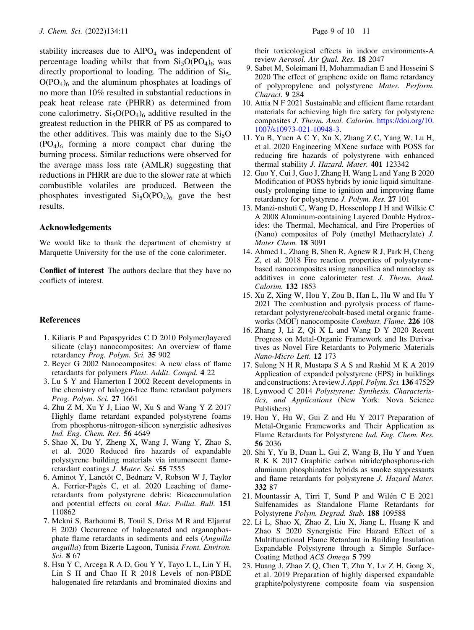stability increases due to  $AIPO<sub>4</sub>$  was independent of percentage loading whilst that from  $Si<sub>5</sub>O(PO<sub>4</sub>)<sub>6</sub>$  was directly proportional to loading. The addition of  $Si<sub>5</sub>$ .  $O(PO<sub>4</sub>)<sub>6</sub>$  and the aluminum phosphates at loadings of no more than 10% resulted in substantial reductions in peak heat release rate (PHRR) as determined from cone calorimetry.  $Si<sub>5</sub>O(PO<sub>4</sub>)<sub>6</sub>$  additive resulted in the greatest reduction in the PHRR of PS as compared to the other additives. This was mainly due to the  $Si<sub>5</sub>O$  $(PO_4)_6$  forming a more compact char during the burning process. Similar reductions were observed for the average mass loss rate (AMLR) suggesting that reductions in PHRR are due to the slower rate at which combustible volatiles are produced. Between the phosphates investigated  $Si<sub>5</sub>O(PO<sub>4</sub>)<sub>6</sub>$  gave the best results.

## Acknowledgements

We would like to thank the department of chemistry at Marquette University for the use of the cone calorimeter.

Conflict of interest The authors declare that they have no conflicts of interest.

#### References

- 1. Kiliaris P and Papaspyrides C D 2010 Polymer/layered silicate (clay) nanocomposites: An overview of flame retardancy Prog. Polym. Sci. 35 902
- 2. Beyer G 2002 Nanocomposites: A new class of flame retardants for polymers Plast. Addit. Compd. 4 22
- 3. Lu S Y and Hamerton I 2002 Recent developments in the chemistry of halogen-free flame retardant polymers Prog. Polym. Sci. 27 1661
- 4. Zhu Z M, Xu Y J, Liao W, Xu S and Wang Y Z 2017 Highly flame retardant expanded polystyrene foams from phosphorus-nitrogen-silicon synergistic adhesives Ind. Eng. Chem. Res. 56 4649
- 5. Shao X, Du Y, Zheng X, Wang J, Wang Y, Zhao S, et al. 2020 Reduced fire hazards of expandable polystyrene building materials via intumescent flameretardant coatings J. Mater. Sci. 55 7555
- 6. Aminot Y, Lanctôt C, Bednarz V, Robson W J, Taylor A, Ferrier-Pagès C, et al. 2020 Leaching of flameretardants from polystyrene debris: Bioaccumulation and potential effects on coral Mar. Pollut. Bull. 151 110862
- 7. Mekni S, Barhoumi B, Touil S, Driss M R and Eljarrat E 2020 Occurrence of halogenated and organophosphate flame retardants in sediments and eels (Anguilla anguilla) from Bizerte Lagoon, Tunisia Front. Environ. Sci. 8 67
- 8. Hsu Y C, Arcega R A D, Gou Y Y, Tayo L L, Lin Y H, Lin S H and Chao H R 2018 Levels of non-PBDE halogenated fire retardants and brominated dioxins and

their toxicological effects in indoor environments-A review Aerosol. Air Qual. Res. 18 2047

- 9. Sabet M, Soleimani H, Mohammadian E and Hosseini S 2020 The effect of graphene oxide on flame retardancy of polypropylene and polystyrene Mater. Perform. Charact. 9 284
- 10. Attia N F 2021 Sustainable and efficient flame retardant materials for achieving high fire safety for polystyrene composites J. Therm. Anal. Calorim. https://doi.org/10. 1007/s10973-021-10948-3.
- 11. Yu B, Yuen A C Y, Xu X, Zhang Z C, Yang W, Lu H, et al. 2020 Engineering MXene surface with POSS for reducing fire hazards of polystyrene with enhanced thermal stability J. Hazard. Mater. 401 123342
- 12. Guo Y, Cui J, Guo J, Zhang H, Wang L and Yang B 2020 Modification of POSS hybrids by ionic liquid simultaneously prolonging time to ignition and improving flame retardancy for polystyrene J. Polym. Res. 27 101
- 13. Manzi-nshuti C, Wang D, Hossenlopp J H and Wilkie C A 2008 Aluminum-containing Layered Double Hydroxides: the Thermal, Mechanical, and Fire Properties of (Nano) composites of Poly (methyl Methacrylate) J. Mater Chem. 18 3091
- 14. Ahmed L, Zhang B, Shen R, Agnew R J, Park H, Cheng Z, et al. 2018 Fire reaction properties of polystyrenebased nanocomposites using nanosilica and nanoclay as additives in cone calorimeter test J. Therm. Anal. Calorim. 132 1853
- 15. Xu Z, Xing W, Hou Y, Zou B, Han L, Hu W and Hu Y 2021 The combustion and pyrolysis process of flameretardant polystyrene/cobalt-based metal organic frameworks (MOF) nanocomposite Combust. Flame. 226 108
- 16. Zhang J, Li Z, Qi X L and Wang D Y 2020 Recent Progress on Metal-Organic Framework and Its Derivatives as Novel Fire Retardants to Polymeric Materials Nano-Micro Lett. 12 173
- 17. Sulong N H R, Mustapa S A S and Rashid M K A 2019 Application of expanded polystyrene (EPS) in buildings and constructions: A reviewJ. Appl. Polym. Sci. 136 47529
- 18. Lynwood C 2014 Polystyrene: Synthesis, Characteristics, and Applications (New York: Nova Science Publishers)
- 19. Hou Y, Hu W, Gui Z and Hu Y 2017 Preparation of Metal-Organic Frameworks and Their Application as Flame Retardants for Polystyrene Ind. Eng. Chem. Res. 56 2036
- 20. Shi Y, Yu B, Duan L, Gui Z, Wang B, Hu Y and Yuen R K K 2017 Graphitic carbon nitride/phosphorus-rich aluminum phosphinates hybrids as smoke suppressants and flame retardants for polystyrene J. Hazard Mater. 332 87
- 21. Mountassir A, Tirri T, Sund P and Wilén C E 2021 Sulfenamides as Standalone Flame Retardants for Polystyrene Polym. Degrad. Stab. 188 109588
- 22. Li L, Shao X, Zhao Z, Liu X, Jiang L, Huang K and Zhao S 2020 Synergistic Fire Hazard Effect of a Multifunctional Flame Retardant in Building Insulation Expandable Polystyrene through a Simple Surface-Coating Method ACS Omega 5 799
- 23. Huang J, Zhao Z Q, Chen T, Zhu Y, Lv Z H, Gong X, et al. 2019 Preparation of highly dispersed expandable graphite/polystyrene composite foam via suspension